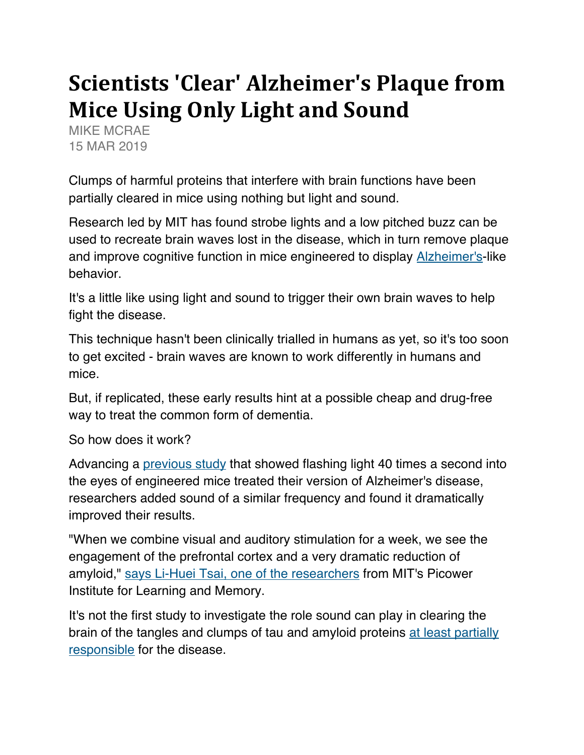## **Scientists 'Clear' Alzheimer's Plaque from Mice Using Only Light and Sound**

MIKE MCRAE 15 MAR 2019

Clumps of harmful proteins that interfere with brain functions have been partially cleared in mice using nothing but light and sound.

Research led by MIT has found strobe lights and a low pitched buzz can be used to recreate brain waves lost in the disease, which in turn remove plaque and improve cognitive function in mice engineered to display Alzheimer's-like behavior.

It's a little like using light and sound to trigger their own brain waves to help fight the disease.

This technique hasn't been clinically trialled in humans as yet, so it's too soon to get excited - brain waves are known to work differently in humans and mice.

But, if replicated, these early results hint at a possible cheap and drug-free way to treat the common form of dementia.

So how does it work?

Advancing a previous study that showed flashing light 40 times a second into the eyes of engineered mice treated their version of Alzheimer's disease, researchers added sound of a similar frequency and found it dramatically improved their results.

"When we combine visual and auditory stimulation for a week, we see the engagement of the prefrontal cortex and a very dramatic reduction of amyloid," says Li-Huei Tsai, one of the researchers from MIT's Picower Institute for Learning and Memory.

It's not the first study to investigate the role sound can play in clearing the brain of the tangles and clumps of tau and amyloid proteins at least partially responsible for the disease.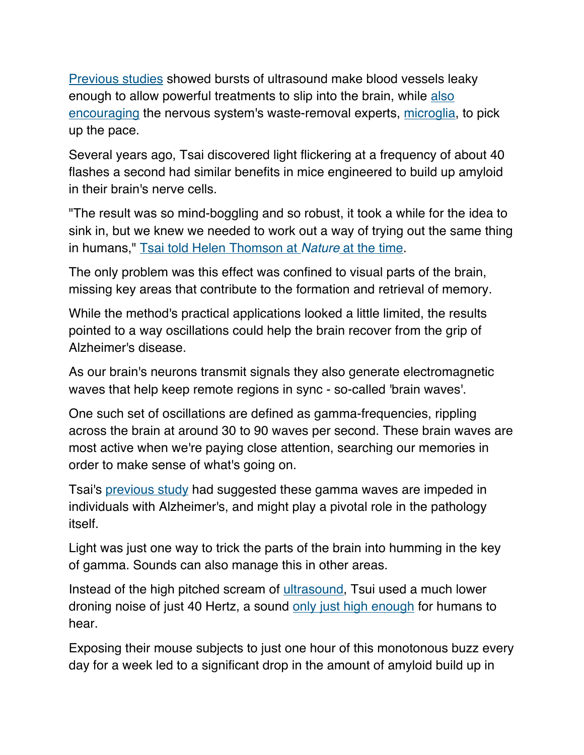Previous studies showed bursts of ultrasound make blood vessels leaky enough to allow powerful treatments to slip into the brain, while also encouraging the nervous system's waste-removal experts, microglia, to pick up the pace.

Several years ago, Tsai discovered light flickering at a frequency of about 40 flashes a second had similar benefits in mice engineered to build up amyloid in their brain's nerve cells.

"The result was so mind-boggling and so robust, it took a while for the idea to sink in, but we knew we needed to work out a way of trying out the same thing in humans," Tsai told Helen Thomson at Nature at the time.

The only problem was this effect was confined to visual parts of the brain, missing key areas that contribute to the formation and retrieval of memory.

While the method's practical applications looked a little limited, the results pointed to a way oscillations could help the brain recover from the grip of Alzheimer's disease.

As our brain's neurons transmit signals they also generate electromagnetic waves that help keep remote regions in sync - so-called 'brain waves'.

One such set of oscillations are defined as gamma-frequencies, rippling across the brain at around 30 to 90 waves per second. These brain waves are most active when we're paying close attention, searching our memories in order to make sense of what's going on.

Tsai's previous study had suggested these gamma waves are impeded in individuals with Alzheimer's, and might play a pivotal role in the pathology itself.

Light was just one way to trick the parts of the brain into humming in the key of gamma. Sounds can also manage this in other areas.

Instead of the high pitched scream of ultrasound, Tsui used a much lower droning noise of just 40 Hertz, a sound only just high enough for humans to hear.

Exposing their mouse subjects to just one hour of this monotonous buzz every day for a week led to a significant drop in the amount of amyloid build up in